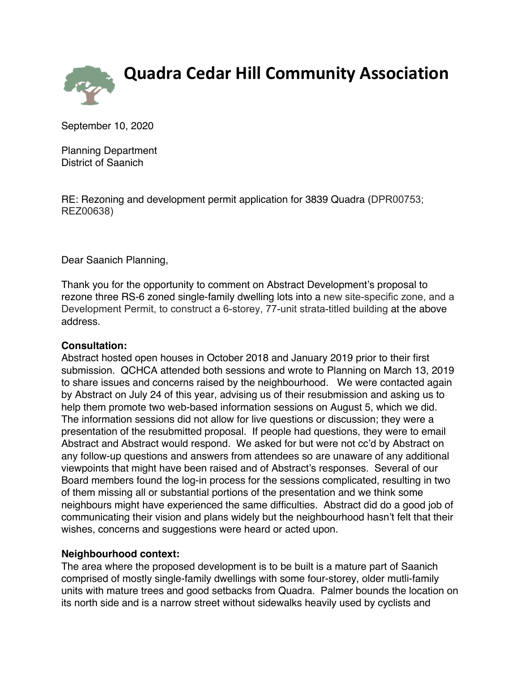

**Quadra Cedar Hill Community Association**

September 10, 2020

Planning Department District of Saanich

RE: Rezoning and development permit application for 3839 Quadra (DPR00753; REZ00638)

Dear Saanich Planning,

Thank you for the opportunity to comment on Abstract Development's proposal to rezone three RS-6 zoned single-family dwelling lots into a new site-specific zone, and a Development Permit, to construct a 6-storey, 77-unit strata-titled building at the above address.

### **Consultation:**

Abstract hosted open houses in October 2018 and January 2019 prior to their first submission. QCHCA attended both sessions and wrote to Planning on March 13, 2019 to share issues and concerns raised by the neighbourhood. We were contacted again by Abstract on July 24 of this year, advising us of their resubmission and asking us to help them promote two web-based information sessions on August 5, which we did. The information sessions did not allow for live questions or discussion; they were a presentation of the resubmitted proposal. If people had questions, they were to email Abstract and Abstract would respond. We asked for but were not cc'd by Abstract on any follow-up questions and answers from attendees so are unaware of any additional viewpoints that might have been raised and of Abstract's responses. Several of our Board members found the log-in process for the sessions complicated, resulting in two of them missing all or substantial portions of the presentation and we think some neighbours might have experienced the same difficulties. Abstract did do a good job of communicating their vision and plans widely but the neighbourhood hasn't felt that their wishes, concerns and suggestions were heard or acted upon.

### **Neighbourhood context:**

The area where the proposed development is to be built is a mature part of Saanich comprised of mostly single-family dwellings with some four-storey, older mutli-family units with mature trees and good setbacks from Quadra. Palmer bounds the location on its north side and is a narrow street without sidewalks heavily used by cyclists and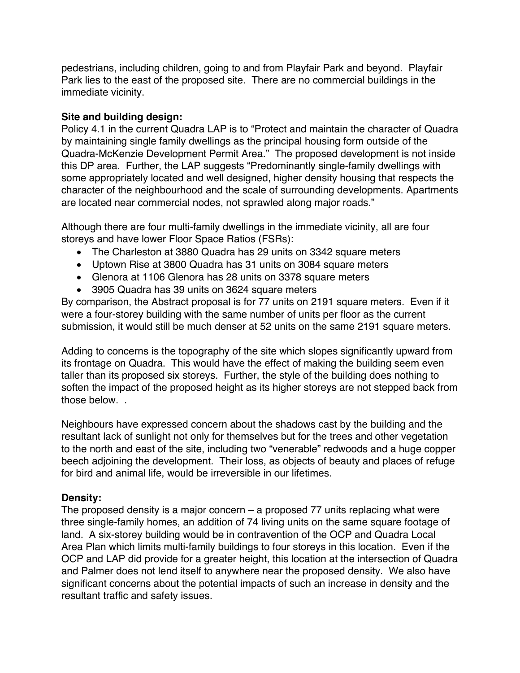pedestrians, including children, going to and from Playfair Park and beyond. Playfair Park lies to the east of the proposed site. There are no commercial buildings in the immediate vicinity.

## **Site and building design:**

Policy 4.1 in the current Quadra LAP is to "Protect and maintain the character of Quadra by maintaining single family dwellings as the principal housing form outside of the Quadra-McKenzie Development Permit Area." The proposed development is not inside this DP area. Further, the LAP suggests "Predominantly single-family dwellings with some appropriately located and well designed, higher density housing that respects the character of the neighbourhood and the scale of surrounding developments. Apartments are located near commercial nodes, not sprawled along major roads."

Although there are four multi-family dwellings in the immediate vicinity, all are four storeys and have lower Floor Space Ratios (FSRs):

- The Charleston at 3880 Quadra has 29 units on 3342 square meters
- Uptown Rise at 3800 Quadra has 31 units on 3084 square meters
- Glenora at 1106 Glenora has 28 units on 3378 square meters
- 3905 Quadra has 39 units on 3624 square meters

By comparison, the Abstract proposal is for 77 units on 2191 square meters. Even if it were a four-storey building with the same number of units per floor as the current submission, it would still be much denser at 52 units on the same 2191 square meters.

Adding to concerns is the topography of the site which slopes significantly upward from its frontage on Quadra. This would have the effect of making the building seem even taller than its proposed six storeys. Further, the style of the building does nothing to soften the impact of the proposed height as its higher storeys are not stepped back from those below. .

Neighbours have expressed concern about the shadows cast by the building and the resultant lack of sunlight not only for themselves but for the trees and other vegetation to the north and east of the site, including two "venerable" redwoods and a huge copper beech adjoining the development. Their loss, as objects of beauty and places of refuge for bird and animal life, would be irreversible in our lifetimes.

# **Density:**

The proposed density is a major concern – a proposed 77 units replacing what were three single-family homes, an addition of 74 living units on the same square footage of land. A six-storey building would be in contravention of the OCP and Quadra Local Area Plan which limits multi-family buildings to four storeys in this location. Even if the OCP and LAP did provide for a greater height, this location at the intersection of Quadra and Palmer does not lend itself to anywhere near the proposed density. We also have significant concerns about the potential impacts of such an increase in density and the resultant traffic and safety issues.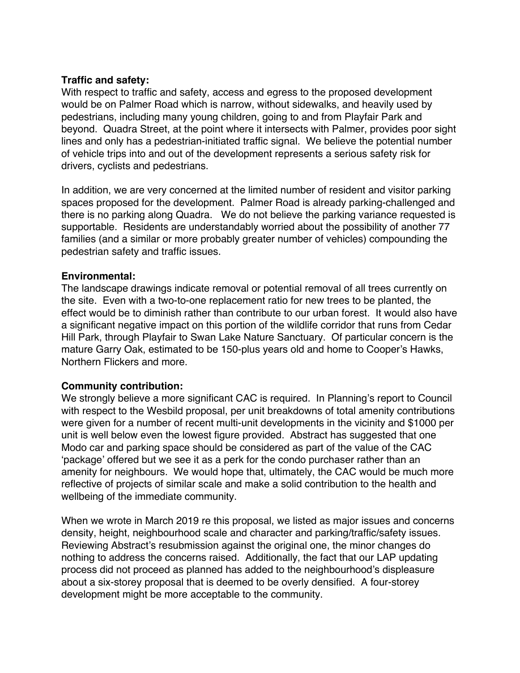### **Traffic and safety:**

With respect to traffic and safety, access and egress to the proposed development would be on Palmer Road which is narrow, without sidewalks, and heavily used by pedestrians, including many young children, going to and from Playfair Park and beyond. Quadra Street, at the point where it intersects with Palmer, provides poor sight lines and only has a pedestrian-initiated traffic signal. We believe the potential number of vehicle trips into and out of the development represents a serious safety risk for drivers, cyclists and pedestrians.

In addition, we are very concerned at the limited number of resident and visitor parking spaces proposed for the development. Palmer Road is already parking-challenged and there is no parking along Quadra. We do not believe the parking variance requested is supportable. Residents are understandably worried about the possibility of another 77 families (and a similar or more probably greater number of vehicles) compounding the pedestrian safety and traffic issues.

### **Environmental:**

The landscape drawings indicate removal or potential removal of all trees currently on the site. Even with a two-to-one replacement ratio for new trees to be planted, the effect would be to diminish rather than contribute to our urban forest. It would also have a significant negative impact on this portion of the wildlife corridor that runs from Cedar Hill Park, through Playfair to Swan Lake Nature Sanctuary. Of particular concern is the mature Garry Oak, estimated to be 150-plus years old and home to Cooper's Hawks, Northern Flickers and more.

### **Community contribution:**

We strongly believe a more significant CAC is required. In Planning's report to Council with respect to the Wesbild proposal, per unit breakdowns of total amenity contributions were given for a number of recent multi-unit developments in the vicinity and \$1000 per unit is well below even the lowest figure provided. Abstract has suggested that one Modo car and parking space should be considered as part of the value of the CAC 'package' offered but we see it as a perk for the condo purchaser rather than an amenity for neighbours. We would hope that, ultimately, the CAC would be much more reflective of projects of similar scale and make a solid contribution to the health and wellbeing of the immediate community.

When we wrote in March 2019 re this proposal, we listed as major issues and concerns density, height, neighbourhood scale and character and parking/traffic/safety issues. Reviewing Abstract's resubmission against the original one, the minor changes do nothing to address the concerns raised. Additionally, the fact that our LAP updating process did not proceed as planned has added to the neighbourhood's displeasure about a six-storey proposal that is deemed to be overly densified. A four-storey development might be more acceptable to the community.